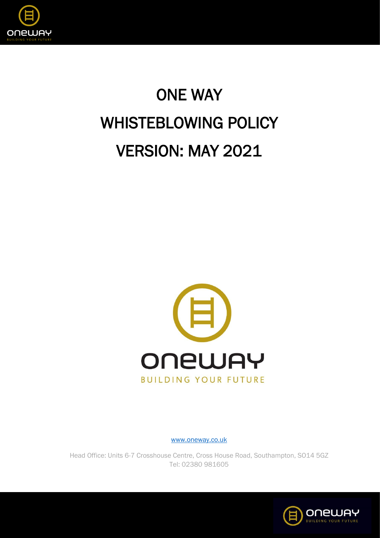

# ONE WAY WHISTEBLOWING POLICY VERSION: MAY 2021



[www.oneway.co.uk](http://www.oneway.co.uk/)

Head Office: Units 6-7 Crosshouse Centre, Cross House Road, Southampton, SO14 5GZ Tel: 02380 981605

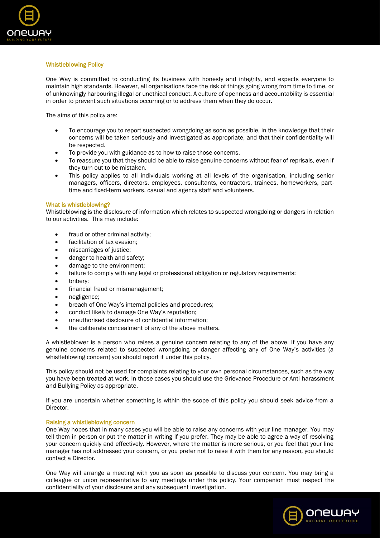

# Whistleblowing Policy

One Way is committed to conducting its business with honesty and integrity, and expects everyone to maintain high standards. However, all organisations face the risk of things going wrong from time to time, or of unknowingly harbouring illegal or unethical conduct. A culture of openness and accountability is essential in order to prevent such situations occurring or to address them when they do occur.

The aims of this policy are:

- To encourage you to report suspected wrongdoing as soon as possible, in the knowledge that their concerns will be taken seriously and investigated as appropriate, and that their confidentiality will be respected.
- To provide you with guidance as to how to raise those concerns.
- To reassure you that they should be able to raise genuine concerns without fear of reprisals, even if they turn out to be mistaken.
- This policy applies to all individuals working at all levels of the organisation, including senior managers, officers, directors, employees, consultants, contractors, trainees, homeworkers, parttime and fixed-term workers, casual and agency staff and volunteers.

## What is whistleblowing?

Whistleblowing is the disclosure of information which relates to suspected wrongdoing or dangers in relation to our activities. This may include:

- fraud or other criminal activity;
- facilitation of tax evasion:
- miscarriages of justice;
- danger to health and safety;
- damage to the environment;
- failure to comply with any legal or professional obligation or regulatory requirements;
- bribery;
- financial fraud or mismanagement;
- negligence;
- breach of One Way's internal policies and procedures;
- conduct likely to damage One Way's reputation;
- unauthorised disclosure of confidential information;
- the deliberate concealment of any of the above matters.

A whistleblower is a person who raises a genuine concern relating to any of the above. If you have any genuine concerns related to suspected wrongdoing or danger affecting any of One Way's activities (a whistleblowing concern) you should report it under this policy.

This policy should not be used for complaints relating to your own personal circumstances, such as the way you have been treated at work. In those cases you should use the Grievance Procedure or Anti-harassment and Bullying Policy as appropriate.

If you are uncertain whether something is within the scope of this policy you should seek advice from a Director.

# Raising a whistleblowing concern

One Way hopes that in many cases you will be able to raise any concerns with your line manager. You may tell them in person or put the matter in writing if you prefer. They may be able to agree a way of resolving your concern quickly and effectively. However, where the matter is more serious, or you feel that your line manager has not addressed your concern, or you prefer not to raise it with them for any reason, you should contact a Director.

One Way will arrange a meeting with you as soon as possible to discuss your concern. You may bring a colleague or union representative to any meetings under this policy. Your companion must respect the confidentiality of your disclosure and any subsequent investigation.

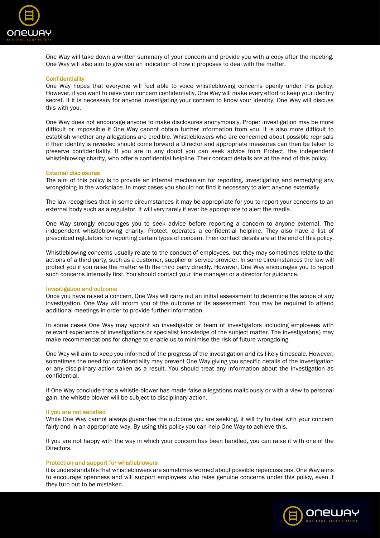

One Way will take down a written summary of your concern and provide you with a copy after the meeting. One Way will also aim to give you an indication of how it proposes to deal with the matter.

#### **Confidentiality**

One Way hopes that everyone will feel able to voice whistleblowing concerns openly under this policy. However, if you want to raise your concern confidentially, One Way will make every effort to keep your identity secret. If it is necessary for anyone investigating your concern to know your identity, One Way will discuss this with you.

One Way does not encourage anyone to make disclosures anonymously. Proper investigation may be more difficult or impossible if One Way cannot obtain further information from you. It is also more difficult to establish whether any allegations are credible. Whistleblowers who are concerned about possible reprisals if their identity is revealed should come forward a Director and appropriate measures can then be taken to preserve confidentiality. If you are in any doubt you can seek advice from Protect, the independent whistleblowing charity, who offer a confidential helpline. Their contact details are at the end of this policy.

#### External disclosures

The aim of this policy is to provide an internal mechanism for reporting, investigating and remedying any wrongdoing in the workplace. In most cases you should not find it necessary to alert anyone externally.

The law recognises that in some circumstances it may be appropriate for you to report your concerns to an external body such as a regulator. It will very rarely if ever be appropriate to alert the media.

One Way strongly encourages you to seek advice before reporting a concern to anyone external. The independent whistleblowing charity, Protect, operates a confidential helpline. They also have a list of prescribed regulators for reporting certain types of concern. Their contact details are at the end of this policy.

Whistleblowing concerns usually relate to the conduct of employees, but they may sometimes relate to the actions of a third party, such as a customer, supplier or service provider. In some circumstances the law will protect you if you raise the matter with the third party directly. However, One Way encourages you to report such concerns internally first. You should contact your line manager or a director for guidance.

#### Investigation and outcome

Once you have raised a concern, One Way will carry out an initial assessment to determine the scope of any investigation. One Way will inform you of the outcome of its assessment. You may be required to attend additional meetings in order to provide further information.

In some cases One Way may appoint an investigator or team of investigators including employees with relevant experience of investigations or specialist knowledge of the subject matter. The investigator(s) may make recommendations for change to enable us to minimise the risk of future wrongdoing.

One Way will aim to keep you informed of the progress of the investigation and its likely timescale. However, sometimes the need for confidentiality may prevent One Way giving you specific details of the investigation or any disciplinary action taken as a result. You should treat any information about the investigation as confidential.

If One Way conclude that a whistle-blower has made false allegations maliciously or with a view to personal gain, the whistle-blower will be subject to disciplinary action.

#### If you are not satisfied

While One Way cannot always guarantee the outcome you are seeking, it will try to deal with your concern fairly and in an appropriate way. By using this policy you can help One Way to achieve this.

If you are not happy with the way in which your concern has been handled, you can raise it with one of the Directors.

#### Protection and support for whistleblowers

It is understandable that whistleblowers are sometimes worried about possible repercussions. One Way aims to encourage openness and will support employees who raise genuine concerns under this policy, even if they turn out to be mistaken.